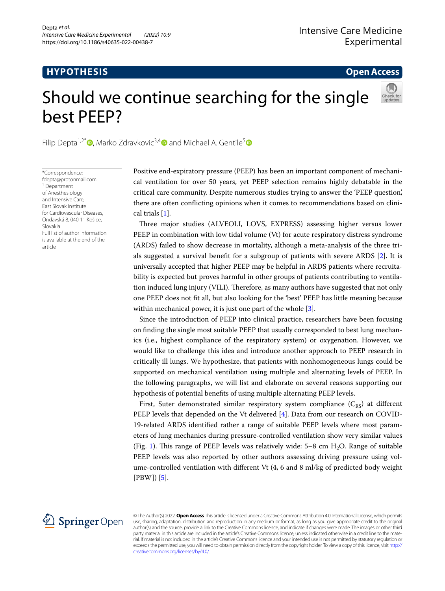# **HYPOTHESIS**

**Open Access**

# Should we continue searching for the single best PEEP?

Filip Depta<sup>1[,](https://orcid.org/0000-0002-2854-0450)2\*</sup> $\bullet$ , Marko Zdravkovic<sup>3,[4](https://orcid.org/0000-0002-0033-7071)</sup> $\bullet$  and Michael A. Gentile<sup>[5](https://orcid.org/0000-0003-4542-0845)</sup> $\bullet$ 

\*Correspondence: fdepta@protonmail.com 1 Department of Anesthesiology and Intensive Care, East Slovak Institute for Cardiovascular Diseases, Ondavská 8, 040 11 Košice, Slovakia Full list of author information is available at the end of the article

Positive end-expiratory pressure (PEEP) has been an important component of mechanical ventilation for over 50 years, yet PEEP selection remains highly debatable in the critical care community. Despite numerous studies trying to answer the 'PEEP question', there are often conficting opinions when it comes to recommendations based on clinical trials [[1](#page-3-0)].

Tree major studies (ALVEOLI, LOVS, EXPRESS) assessing higher versus lower PEEP in combination with low tidal volume (Vt) for acute respiratory distress syndrome (ARDS) failed to show decrease in mortality, although a meta-analysis of the three trials suggested a survival beneft for a subgroup of patients with severe ARDS [\[2](#page-3-1)]. It is universally accepted that higher PEEP may be helpful in ARDS patients where recruitability is expected but proves harmful in other groups of patients contributing to ventilation induced lung injury (VILI). Therefore, as many authors have suggested that not only one PEEP does not ft all, but also looking for the 'best' PEEP has little meaning because within mechanical power, it is just one part of the whole [\[3](#page-3-2)].

Since the introduction of PEEP into clinical practice, researchers have been focusing on fnding the single most suitable PEEP that usually corresponded to best lung mechanics (i.e., highest compliance of the respiratory system) or oxygenation. However, we would like to challenge this idea and introduce another approach to PEEP research in critically ill lungs. We hypothesize, that patients with nonhomogeneous lungs could be supported on mechanical ventilation using multiple and alternating levels of PEEP. In the following paragraphs, we will list and elaborate on several reasons supporting our hypothesis of potential benefts of using multiple alternating PEEP levels.

First, Suter demonstrated similar respiratory system compliance  $(C_{RS})$  at different PEEP levels that depended on the Vt delivered [[4\]](#page-3-3). Data from our research on COVID-19-related ARDS identifed rather a range of suitable PEEP levels where most parameters of lung mechanics during pressure-controlled ventilation show very similar values (Fig. [1\)](#page-1-0). This range of PEEP levels was relatively wide:  $5-8$  cm  $H<sub>2</sub>O$ . Range of suitable PEEP levels was also reported by other authors assessing driving pressure using volume-controlled ventilation with diferent Vt (4, 6 and 8 ml/kg of predicted body weight  $[PBW]$  $[5]$  $[5]$ .



© The Author(s) 2022. **Open Access** This article is licensed under a Creative Commons Attribution 4.0 International License, which permits use, sharing, adaptation, distribution and reproduction in any medium or format, as long as you give appropriate credit to the original author(s) and the source, provide a link to the Creative Commons licence, and indicate if changes were made. The images or other third party material in this article are included in the article's Creative Commons licence, unless indicated otherwise in a credit line to the material. If material is not included in the article's Creative Commons licence and your intended use is not permitted by statutory regulation or exceeds the permitted use, you will need to obtain permission directly from the copyright holder. To view a copy of this licence, visit [http://](http://creativecommons.org/licenses/by/4.0/) [creativecommons.org/licenses/by/4.0/.](http://creativecommons.org/licenses/by/4.0/)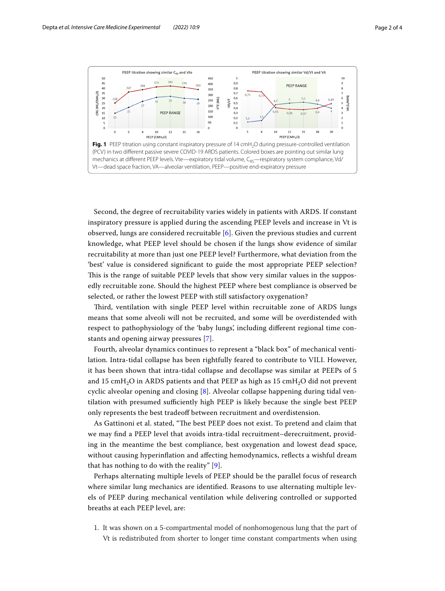

<span id="page-1-0"></span>Second, the degree of recruitability varies widely in patients with ARDS. If constant inspiratory pressure is applied during the ascending PEEP levels and increase in Vt is observed, lungs are considered recruitable [\[6](#page-3-5)]. Given the previous studies and current knowledge, what PEEP level should be chosen if the lungs show evidence of similar recruitability at more than just one PEEP level? Furthermore, what deviation from the 'best' value is considered signifcant to guide the most appropriate PEEP selection? This is the range of suitable PEEP levels that show very similar values in the supposedly recruitable zone. Should the highest PEEP where best compliance is observed be selected, or rather the lowest PEEP with still satisfactory oxygenation?

Tird, ventilation with single PEEP level within recruitable zone of ARDS lungs means that some alveoli will not be recruited, and some will be overdistended with respect to pathophysiology of the 'baby lungs', including diferent regional time constants and opening airway pressures [\[7](#page-3-6)].

Fourth, alveolar dynamics continues to represent a "black box" of mechanical ventilation. Intra-tidal collapse has been rightfully feared to contribute to VILI. However, it has been shown that intra-tidal collapse and decollapse was similar at PEEPs of 5 and 15 cmH<sub>2</sub>O in ARDS patients and that PEEP as high as 15 cmH<sub>2</sub>O did not prevent cyclic alveolar opening and closing [\[8](#page-3-7)]. Alveolar collapse happening during tidal ventilation with presumed sufficiently high PEEP is likely because the single best PEEP only represents the best tradeoff between recruitment and overdistension.

As Gattinoni et al. stated, "Te best PEEP does not exist. To pretend and claim that we may fnd a PEEP level that avoids intra-tidal recruitment–derecruitment, providing in the meantime the best compliance, best oxygenation and lowest dead space, without causing hyperinflation and affecting hemodynamics, reflects a wishful dream that has nothing to do with the reality" [[9\]](#page-3-8).

Perhaps alternating multiple levels of PEEP should be the parallel focus of research where similar lung mechanics are identifed. Reasons to use alternating multiple levels of PEEP during mechanical ventilation while delivering controlled or supported breaths at each PEEP level, are:

1. It was shown on a 5-compartmental model of nonhomogenous lung that the part of Vt is redistributed from shorter to longer time constant compartments when using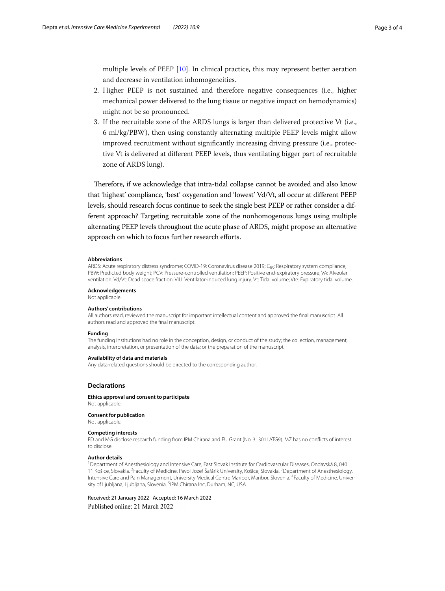multiple levels of PEEP [\[10\]](#page-3-9). In clinical practice, this may represent better aeration and decrease in ventilation inhomogeneities.

- 2. Higher PEEP is not sustained and therefore negative consequences (i.e., higher mechanical power delivered to the lung tissue or negative impact on hemodynamics) might not be so pronounced.
- 3. If the recruitable zone of the ARDS lungs is larger than delivered protective Vt (i.e., 6 ml/kg/PBW), then using constantly alternating multiple PEEP levels might allow improved recruitment without signifcantly increasing driving pressure (i.e., protective Vt is delivered at diferent PEEP levels, thus ventilating bigger part of recruitable zone of ARDS lung).

Therefore, if we acknowledge that intra-tidal collapse cannot be avoided and also know that 'highest' compliance, 'best' oxygenation and 'lowest' Vd/Vt, all occur at diferent PEEP levels, should research focus continue to seek the single best PEEP or rather consider a different approach? Targeting recruitable zone of the nonhomogenous lungs using multiple alternating PEEP levels throughout the acute phase of ARDS, might propose an alternative approach on which to focus further research efforts.

#### **Abbreviations**

ARDS: Acute respiratory distress syndrome; COVID-19: Coronavirus disease 2019; C<sub>BS</sub>: Respiratory system compliance; PBW: Predicted body weight; PCV: Pressure-controlled ventilation; PEEP: Positive end-expiratory pressure; VA: Alveolar ventilation; Vd/Vt: Dead space fraction; VILI: Ventilator-induced lung injury; Vt: Tidal volume; Vte: Expiratory tidal volume.

#### **Acknowledgements**

Not applicable.

### **Authors' contributions**

All authors read, reviewed the manuscript for important intellectual content and approved the fnal manuscript. All authors read and approved the fnal manuscript.

#### **Funding**

The funding institutions had no role in the conception, design, or conduct of the study; the collection, management, analysis, interpretation, or presentation of the data; or the preparation of the manuscript.

#### **Availability of data and materials**

Any data-related questions should be directed to the corresponding author.

#### **Declarations**

**Ethics approval and consent to participate** Not applicable.

#### **Consent for publication**

Not applicable.

#### **Competing interests**

FD and MG disclose research funding from IPM Chirana and EU Grant (No. 313011ATG9). MZ has no conficts of interest to disclose.

#### **Author details**

1 Department of Anesthesiology and Intensive Care, East Slovak Institute for Cardiovascular Diseases, Ondavská 8, 040 11 Košice, Slovakia. <sup>2</sup>Faculty of Medicine, Pavol Jozef Šafárik University, Košice, Slovakia. <sup>3</sup>Department of Anesthesiology, Intensive Care and Pain Management, University Medical Centre Maribor, Maribor, Slovenia. 4 Faculty of Medicine, University of Ljubljana, Ljubljana, Slovenia. <sup>5</sup>IPM Chirana Inc, Durham, NC, USA.

Received: 21 January 2022 Accepted: 16 March 2022Published online: 21 March 2022